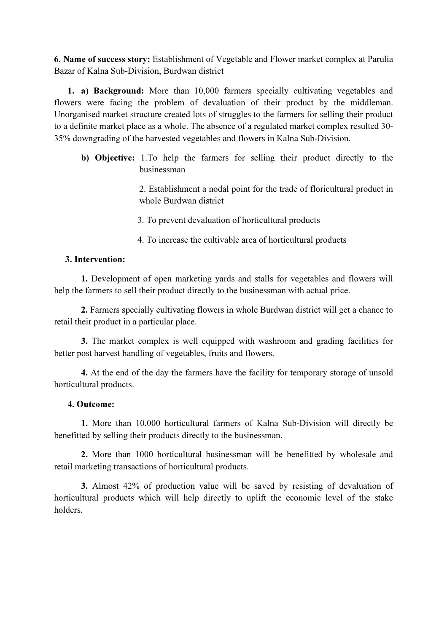6. Name of success story: Establishment of Vegetable and Flower market complex at Parulia Bazar of Kalna Sub-Division, Burdwan district

1. a) Background: More than 10,000 farmers specially cultivating vegetables and flowers were facing the problem of devaluation of their product by the middleman. Unorganised market structure created lots of struggles to the farmers for selling their product to a definite market place as a whole. The absence of a regulated market complex resulted 30- 35% downgrading of the harvested vegetables and flowers in Kalna Sub-Division.

b) Objective: 1.To help the farmers for selling their product directly to the businessman

> 2. Establishment a nodal point for the trade of floricultural product in whole Burdwan district

- 3. To prevent devaluation of horticultural products
- 4. To increase the cultivable area of horticultural products

## 3. Intervention:

1. Development of open marketing yards and stalls for vegetables and flowers will help the farmers to sell their product directly to the businessman with actual price.

2. Farmers specially cultivating flowers in whole Burdwan district will get a chance to retail their product in a particular place.

3. The market complex is well equipped with washroom and grading facilities for better post harvest handling of vegetables, fruits and flowers.

4. At the end of the day the farmers have the facility for temporary storage of unsold horticultural products.

## 4. Outcome:

1. More than 10,000 horticultural farmers of Kalna Sub-Division will directly be benefitted by selling their products directly to the businessman.

2. More than 1000 horticultural businessman will be benefitted by wholesale and retail marketing transactions of horticultural products.

3. Almost 42% of production value will be saved by resisting of devaluation of horticultural products which will help directly to uplift the economic level of the stake holders.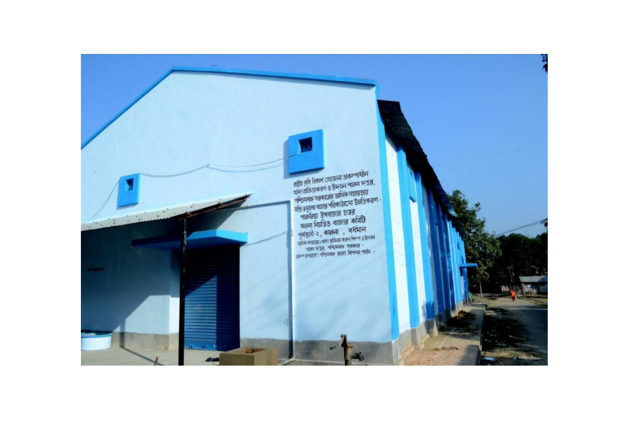